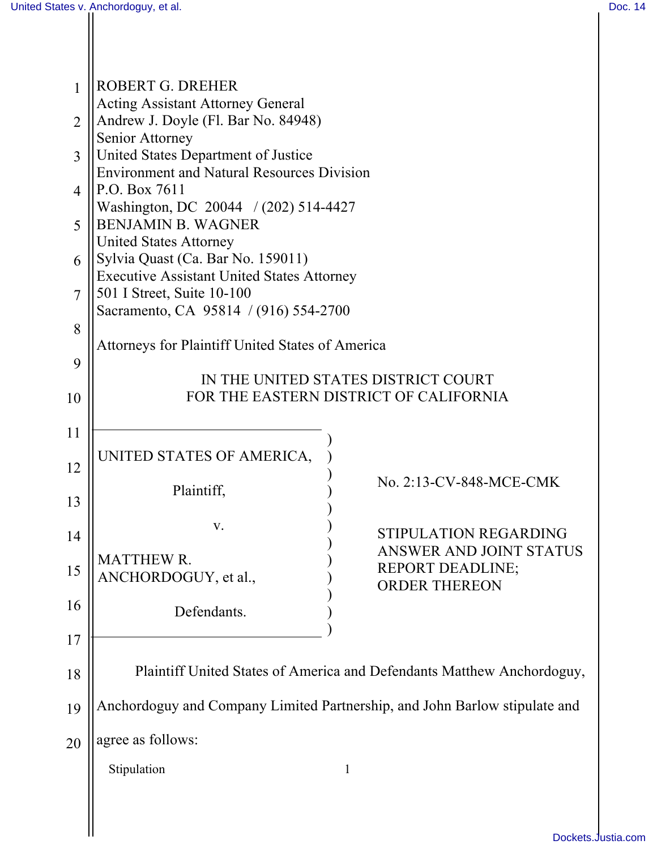| $\mathbf{1}$   | ROBERT G. DREHER<br><b>Acting Assistant Attorney General</b>                                           |  |  |  |
|----------------|--------------------------------------------------------------------------------------------------------|--|--|--|
| $\overline{2}$ | Andrew J. Doyle (Fl. Bar No. 84948)<br>Senior Attorney                                                 |  |  |  |
| 3              | United States Department of Justice<br><b>Environment and Natural Resources Division</b>               |  |  |  |
| $\overline{4}$ | P.O. Box 7611<br>Washington, DC 20044 / (202) 514-4427                                                 |  |  |  |
| 5              | <b>BENJAMIN B. WAGNER</b><br><b>United States Attorney</b>                                             |  |  |  |
| 6              | Sylvia Quast (Ca. Bar No. 159011)<br><b>Executive Assistant United States Attorney</b>                 |  |  |  |
| $\overline{7}$ | 501 I Street, Suite 10-100                                                                             |  |  |  |
| 8              | Sacramento, CA 95814 / (916) 554-2700                                                                  |  |  |  |
| 9              | <b>Attorneys for Plaintiff United States of America</b>                                                |  |  |  |
| 10             | IN THE UNITED STATES DISTRICT COURT<br>FOR THE EASTERN DISTRICT OF CALIFORNIA                          |  |  |  |
| 11             |                                                                                                        |  |  |  |
| 12             | UNITED STATES OF AMERICA,                                                                              |  |  |  |
| 13             | No. 2:13-CV-848-MCE-CMK<br>Plaintiff,                                                                  |  |  |  |
| 14             | V.<br>STIPULATION REGARDING                                                                            |  |  |  |
| 15             | <b>ANSWER AND JOINT STATUS</b><br><b>MATTHEW R.</b><br><b>REPORT DEADLINE;</b><br>ANCHORDOGUY, et al., |  |  |  |
| 16             | <b>ORDER THEREON</b><br>Defendants.                                                                    |  |  |  |
| 17             |                                                                                                        |  |  |  |
| 18             | Plaintiff United States of America and Defendants Matthew Anchordoguy,                                 |  |  |  |
| 19             | Anchordoguy and Company Limited Partnership, and John Barlow stipulate and                             |  |  |  |
| 20             | agree as follows:                                                                                      |  |  |  |
|                | Stipulation<br>1                                                                                       |  |  |  |
|                |                                                                                                        |  |  |  |
|                | <b>Dockate</b>                                                                                         |  |  |  |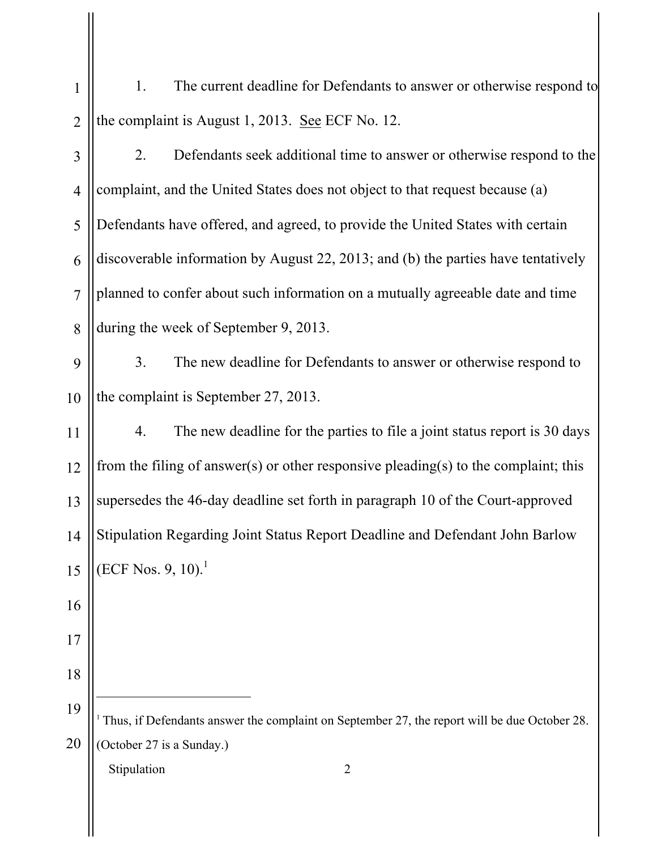| $\mathbf{1}$   | 1.<br>The current deadline for Defendants to answer or otherwise respond to                               |  |
|----------------|-----------------------------------------------------------------------------------------------------------|--|
| $\overline{2}$ | the complaint is August 1, 2013. See ECF No. 12.                                                          |  |
| 3              | Defendants seek additional time to answer or otherwise respond to the<br>2.                               |  |
| $\overline{4}$ | complaint, and the United States does not object to that request because (a)                              |  |
| 5              | Defendants have offered, and agreed, to provide the United States with certain                            |  |
| 6              | discoverable information by August 22, 2013; and (b) the parties have tentatively                         |  |
| $\overline{7}$ | planned to confer about such information on a mutually agreeable date and time                            |  |
| 8              | during the week of September 9, 2013.                                                                     |  |
| 9              | 3 <sub>1</sub><br>The new deadline for Defendants to answer or otherwise respond to                       |  |
| 10             | the complaint is September 27, 2013.                                                                      |  |
| 11             | The new deadline for the parties to file a joint status report is 30 days<br>4.                           |  |
| 12             | from the filing of answer(s) or other responsive pleading(s) to the complaint; this                       |  |
| 13             | supersedes the 46-day deadline set forth in paragraph 10 of the Court-approved                            |  |
| 14             | Stipulation Regarding Joint Status Report Deadline and Defendant John Barlow                              |  |
| 15             | (ECF Nos. 9, 10). <sup>1</sup>                                                                            |  |
| 16             |                                                                                                           |  |
| 17             |                                                                                                           |  |
| 18             |                                                                                                           |  |
| 19             | <sup>1</sup> Thus, if Defendants answer the complaint on September 27, the report will be due October 28. |  |
| 20             | (October 27 is a Sunday.)                                                                                 |  |
|                | Stipulation<br>$\overline{2}$                                                                             |  |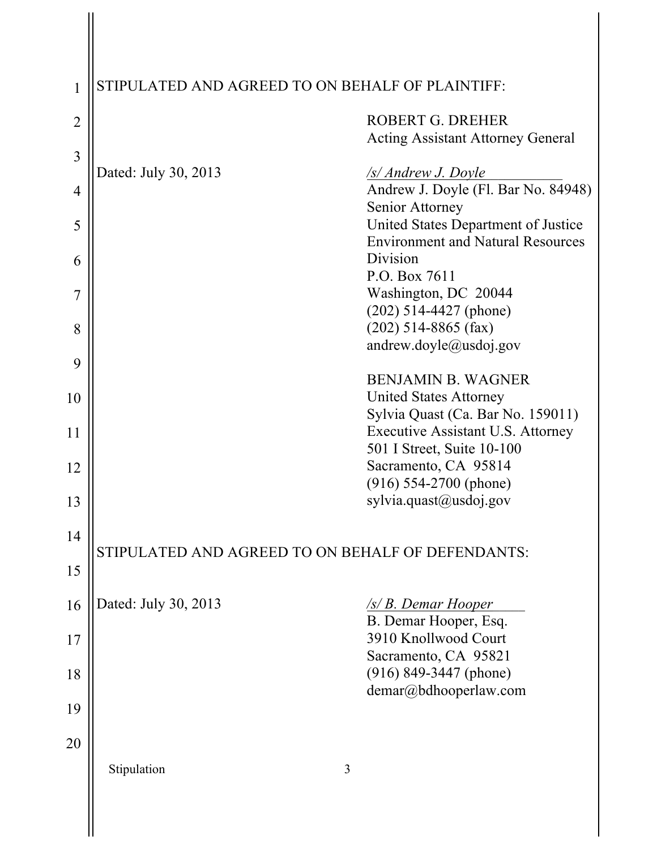| 1              | STIPULATED AND AGREED TO ON BEHALF OF PLAINTIFF:  |                                                                                 |  |
|----------------|---------------------------------------------------|---------------------------------------------------------------------------------|--|
| $\overline{2}$ |                                                   | ROBERT G. DREHER<br><b>Acting Assistant Attorney General</b>                    |  |
| $\overline{3}$ | Dated: July 30, 2013                              | <u>/s/ Andrew J. Doyle</u>                                                      |  |
| $\overline{4}$ |                                                   | Andrew J. Doyle (Fl. Bar No. 84948)<br>Senior Attorney                          |  |
| 5              |                                                   | United States Department of Justice<br><b>Environment and Natural Resources</b> |  |
| 6              |                                                   | Division<br>P.O. Box 7611                                                       |  |
| 7              |                                                   | Washington, DC 20044<br>$(202)$ 514-4427 (phone)                                |  |
| 8              |                                                   | $(202)$ 514-8865 (fax)<br>andrew.doyle@usdoj.gov                                |  |
| 9              |                                                   | <b>BENJAMIN B. WAGNER</b>                                                       |  |
| 10             |                                                   | <b>United States Attorney</b><br>Sylvia Quast (Ca. Bar No. 159011)              |  |
| 11             |                                                   | Executive Assistant U.S. Attorney<br>501 I Street, Suite 10-100                 |  |
| 12             |                                                   | Sacramento, CA 95814<br>$(916) 554-2700$ (phone)                                |  |
| 13             |                                                   | sylvia.quast@usdoj.gov                                                          |  |
| 14<br>15       | STIPULATED AND AGREED TO ON BEHALF OF DEFENDANTS: |                                                                                 |  |
| 16             | Dated: July 30, 2013                              | /s/ B. Demar Hooper                                                             |  |
| 17             |                                                   | B. Demar Hooper, Esq.<br>3910 Knollwood Court                                   |  |
| 18             |                                                   | Sacramento, CA 95821<br>$(916)$ 849-3447 (phone)                                |  |
| 19             |                                                   | demar@bdhooperlaw.com                                                           |  |
| 20             |                                                   |                                                                                 |  |
|                | Stipulation                                       | 3                                                                               |  |
|                |                                                   |                                                                                 |  |
|                |                                                   |                                                                                 |  |